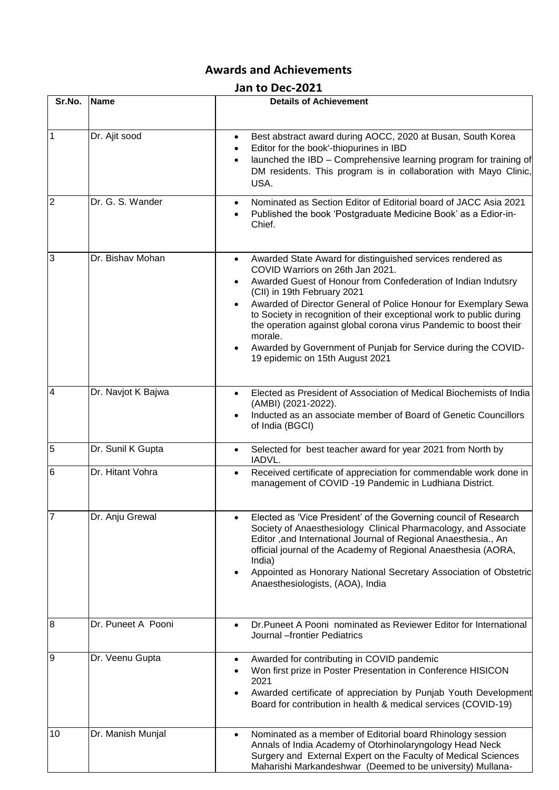## **Awards and Achievements**

## **Jan to Dec-2021**

| Sr.No.           | <b>Name</b>        | <b>Details of Achievement</b>                                                                                                                                                                                                                                                                                                                                                                                                                                                                                                 |
|------------------|--------------------|-------------------------------------------------------------------------------------------------------------------------------------------------------------------------------------------------------------------------------------------------------------------------------------------------------------------------------------------------------------------------------------------------------------------------------------------------------------------------------------------------------------------------------|
|                  |                    |                                                                                                                                                                                                                                                                                                                                                                                                                                                                                                                               |
| 1                | Dr. Ajit sood      | Best abstract award during AOCC, 2020 at Busan, South Korea<br>$\bullet$<br>Editor for the book'-thiopurines in IBD<br>$\bullet$<br>launched the IBD - Comprehensive learning program for training of<br>$\bullet$<br>DM residents. This program is in collaboration with Mayo Clinic,<br>USA.                                                                                                                                                                                                                                |
| $\overline{2}$   | Dr. G. S. Wander   | Nominated as Section Editor of Editorial board of JACC Asia 2021<br>$\bullet$<br>Published the book 'Postgraduate Medicine Book' as a Edior-in-<br>$\bullet$<br>Chief.                                                                                                                                                                                                                                                                                                                                                        |
| 3                | Dr. Bishav Mohan   | Awarded State Award for distinguished services rendered as<br>COVID Warriors on 26th Jan 2021.<br>Awarded Guest of Honour from Confederation of Indian Indutsry<br>(CII) in 19th February 2021<br>Awarded of Director General of Police Honour for Exemplary Sewa<br>to Society in recognition of their exceptional work to public during<br>the operation against global corona virus Pandemic to boost their<br>morale.<br>Awarded by Government of Punjab for Service during the COVID-<br>19 epidemic on 15th August 2021 |
| $\overline{4}$   | Dr. Navjot K Bajwa | Elected as President of Association of Medical Biochemists of India<br>$\bullet$<br>(AMBI) (2021-2022).<br>Inducted as an associate member of Board of Genetic Councillors<br>of India (BGCI)                                                                                                                                                                                                                                                                                                                                 |
| 5                | Dr. Sunil K Gupta  | Selected for best teacher award for year 2021 from North by<br>$\bullet$<br>IADVL.                                                                                                                                                                                                                                                                                                                                                                                                                                            |
| 6                | Dr. Hitant Vohra   | Received certificate of appreciation for commendable work done in<br>$\bullet$<br>management of COVID-19 Pandemic in Ludhiana District.                                                                                                                                                                                                                                                                                                                                                                                       |
|                  | Dr. Anju Grewal    | Elected as 'Vice President' of the Governing council of Research<br>Society of Anaesthesiology Clinical Pharmacology, and Associate<br>Editor, and International Journal of Regional Anaesthesia., An<br>official journal of the Academy of Regional Anaesthesia (AORA,<br>India)<br>Appointed as Honorary National Secretary Association of Obstetric<br>Anaesthesiologists, (AOA), India                                                                                                                                    |
| $\boldsymbol{8}$ | Dr. Puneet A Pooni | Dr. Puneet A Pooni nominated as Reviewer Editor for International<br>$\bullet$<br>Journal --frontier Pediatrics                                                                                                                                                                                                                                                                                                                                                                                                               |
| 9                | Dr. Veenu Gupta    | Awarded for contributing in COVID pandemic<br>٠<br>Won first prize in Poster Presentation in Conference HISICON<br>$\bullet$<br>2021<br>Awarded certificate of appreciation by Punjab Youth Development<br>Board for contribution in health & medical services (COVID-19)                                                                                                                                                                                                                                                     |
| 10               | Dr. Manish Munjal  | Nominated as a member of Editorial board Rhinology session<br>Annals of India Academy of Otorhinolaryngology Head Neck<br>Surgery and External Expert on the Faculty of Medical Sciences<br>Maharishi Markandeshwar (Deemed to be university) Mullana-                                                                                                                                                                                                                                                                        |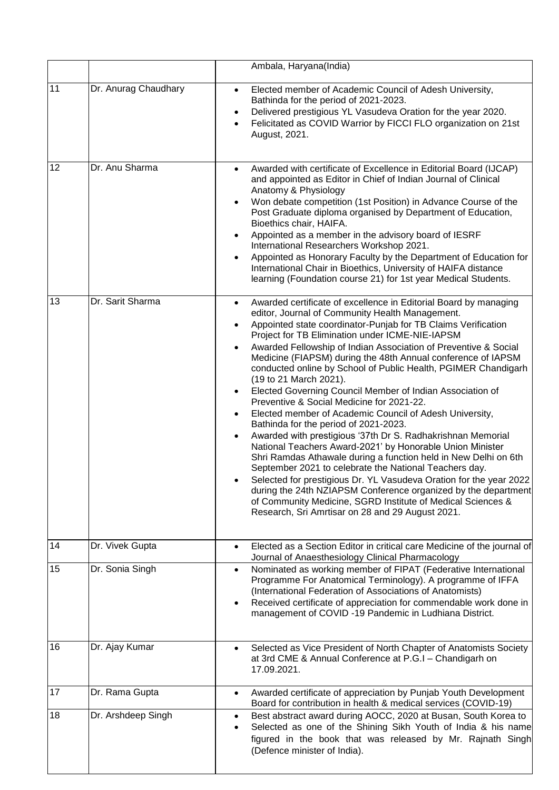|    |                      | Ambala, Haryana(India)                                                                                                                                                                                                                                                                                                                                                                                                                                                                                                                                                                                                                                                                                                                                                                                                                                                                                                                                                                                                                                                                                                                                                                                                |
|----|----------------------|-----------------------------------------------------------------------------------------------------------------------------------------------------------------------------------------------------------------------------------------------------------------------------------------------------------------------------------------------------------------------------------------------------------------------------------------------------------------------------------------------------------------------------------------------------------------------------------------------------------------------------------------------------------------------------------------------------------------------------------------------------------------------------------------------------------------------------------------------------------------------------------------------------------------------------------------------------------------------------------------------------------------------------------------------------------------------------------------------------------------------------------------------------------------------------------------------------------------------|
| 11 | Dr. Anurag Chaudhary | Elected member of Academic Council of Adesh University,<br>$\bullet$<br>Bathinda for the period of 2021-2023.<br>Delivered prestigious YL Vasudeva Oration for the year 2020.<br>$\bullet$<br>Felicitated as COVID Warrior by FICCI FLO organization on 21st<br>$\bullet$<br>August, 2021.                                                                                                                                                                                                                                                                                                                                                                                                                                                                                                                                                                                                                                                                                                                                                                                                                                                                                                                            |
| 12 | Dr. Anu Sharma       | Awarded with certificate of Excellence in Editorial Board (IJCAP)<br>$\bullet$<br>and appointed as Editor in Chief of Indian Journal of Clinical<br>Anatomy & Physiology<br>Won debate competition (1st Position) in Advance Course of the<br>Post Graduate diploma organised by Department of Education,<br>Bioethics chair, HAIFA.<br>Appointed as a member in the advisory board of IESRF<br>International Researchers Workshop 2021.<br>Appointed as Honorary Faculty by the Department of Education for<br>International Chair in Bioethics, University of HAIFA distance<br>learning (Foundation course 21) for 1st year Medical Students.                                                                                                                                                                                                                                                                                                                                                                                                                                                                                                                                                                      |
| 13 | Dr. Sarit Sharma     | Awarded certificate of excellence in Editorial Board by managing<br>$\bullet$<br>editor, Journal of Community Health Management.<br>Appointed state coordinator-Punjab for TB Claims Verification<br>Project for TB Elimination under ICME-NIE-IAPSM<br>Awarded Fellowship of Indian Association of Preventive & Social<br>Medicine (FIAPSM) during the 48th Annual conference of IAPSM<br>conducted online by School of Public Health, PGIMER Chandigarh<br>(19 to 21 March 2021).<br>Elected Governing Council Member of Indian Association of<br>Preventive & Social Medicine for 2021-22.<br>Elected member of Academic Council of Adesh University,<br>Bathinda for the period of 2021-2023.<br>Awarded with prestigious '37th Dr S. Radhakrishnan Memorial<br>National Teachers Award-2021' by Honorable Union Minister<br>Shri Ramdas Athawale during a function held in New Delhi on 6th<br>September 2021 to celebrate the National Teachers day.<br>Selected for prestigious Dr. YL Vasudeva Oration for the year 2022<br>during the 24th NZIAPSM Conference organized by the department<br>of Community Medicine, SGRD Institute of Medical Sciences &<br>Research, Sri Amrtisar on 28 and 29 August 2021. |
| 14 | Dr. Vivek Gupta      | Elected as a Section Editor in critical care Medicine of the journal of<br>Journal of Anaesthesiology Clinical Pharmacology                                                                                                                                                                                                                                                                                                                                                                                                                                                                                                                                                                                                                                                                                                                                                                                                                                                                                                                                                                                                                                                                                           |
| 15 | Dr. Sonia Singh      | Nominated as working member of FIPAT (Federative International<br>Programme For Anatomical Terminology). A programme of IFFA<br>(International Federation of Associations of Anatomists)<br>Received certificate of appreciation for commendable work done in<br>management of COVID-19 Pandemic in Ludhiana District.                                                                                                                                                                                                                                                                                                                                                                                                                                                                                                                                                                                                                                                                                                                                                                                                                                                                                                |
| 16 | Dr. Ajay Kumar       | Selected as Vice President of North Chapter of Anatomists Society<br>at 3rd CME & Annual Conference at P.G.I - Chandigarh on<br>17.09.2021.                                                                                                                                                                                                                                                                                                                                                                                                                                                                                                                                                                                                                                                                                                                                                                                                                                                                                                                                                                                                                                                                           |
| 17 | Dr. Rama Gupta       | Awarded certificate of appreciation by Punjab Youth Development<br>$\bullet$<br>Board for contribution in health & medical services (COVID-19)                                                                                                                                                                                                                                                                                                                                                                                                                                                                                                                                                                                                                                                                                                                                                                                                                                                                                                                                                                                                                                                                        |
| 18 | Dr. Arshdeep Singh   | Best abstract award during AOCC, 2020 at Busan, South Korea to<br>Selected as one of the Shining Sikh Youth of India & his name<br>figured in the book that was released by Mr. Rajnath Singh<br>(Defence minister of India).                                                                                                                                                                                                                                                                                                                                                                                                                                                                                                                                                                                                                                                                                                                                                                                                                                                                                                                                                                                         |

 $\mathsf{l}$